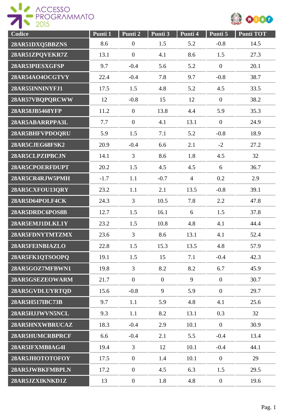

| Codice          | Punti 1 | Punti 2          | Punti 3        | Punti 4        | Punti 5        | <b>Punti TOT</b> |
|-----------------|---------|------------------|----------------|----------------|----------------|------------------|
| 28AR51DXQ5BBZNS | 8.6     | $\boldsymbol{0}$ | 1.5            | 5.2            | $-0.8$         | 14.5             |
| 28AR51ZPQVEKR7Z | 13.1    | $\boldsymbol{0}$ | 4.1            | 8.6            | 1.5            | 27.3             |
| 28AR53PIESXGFSP | 9.7     | $-0.4$           | 5.6            | 5.2            | $\overline{0}$ | 20.1             |
| 28AR54AO4OCGTVY | 22.4    | $-0.4$           | 7.8            | 9.7            | $-0.8$         | 38.7             |
| 28AR55INNINYFJ1 | 17.5    | 1.5              | 4.8            | 5.2            | 4.5            | 33.5             |
| 28AR57VBQPQRCWW | 12      | $-0.8$           | 15             | 12             | $\overline{0}$ | 38.2             |
| 28AR58JB5468YFP | 11.2    | $\overline{0}$   | 13.8           | 4.4            | 5.9            | 35.3             |
| 28AR5ABARRPPA3L | 7.7     | $\overline{0}$   | 4.1            | 13.1           | $\theta$       | 24.9             |
| 28AR5BHFVPDOQRU | 5.9     | 1.5              | 7.1            | 5.2            | $-0.8$         | 18.9             |
| 28AR5CJEG68FSK2 | 20.9    | $-0.4$           | 6.6            | 2.1            | $-2$           | 27.2             |
| 28AR5CLPZIPBCJN | 14.1    | 3                | 8.6            | 1.8            | 4.5            | 32               |
| 28AR5CPOERFDUPT | 20.2    | 1.5              | 4.5            | 4.5            | 6              | 36.7             |
| 28AR5CR4RJW5PMH | $-1.7$  | 1.1              | $-0.7$         | $\overline{4}$ | 0.2            | 2.9              |
| 28AR5CXFOU13QRY | 23.2    | 1.1              | 2.1            | 13.5           | $-0.8$         | 39.1             |
| 28AR5D64POLF4CK | 24.3    | 3                | 10.5           | 7.8            | 2.2            | 47.8             |
| 28AR5DRDC6POS8B | 12.7    | 1.5              | 16.1           | 6              | 1.5            | 37.8             |
| 28AR5EMJ1DLKL1Y | 23.2    | 1.5              | 10.8           | 4.8            | 4.1            | 44.4             |
| 28AR5FDNYTMTZMX | 23.6    | 3                | 8.6            | 13.1           | 4.1            | 52.4             |
| 28AR5FEINBIAZLO | 22.8    | 1.5              | 15.3           | 13.5           | 4.8            | 57.9             |
| 28AR5FK1QTSOOPQ | 19.1    | 1.5              | 15             | 7.1            | $-0.4$         | 42.3             |
| 28AR5GOZ7MFBWN1 | 19.8    | $\overline{3}$   | 8.2            | 8.2            | 6.7            | 45.9             |
| 28AR5GSEZEOWARM | 21.7    | $\overline{0}$   | $\overline{0}$ | 9              | $\overline{0}$ | 30.7             |
| 28AR5GVDLUYRTQD | 15.6    | $-0.8$           | 9              | 5.9            | $\overline{0}$ | 29.7             |
| 28AR5H517IBC73B | 9.7     | 1.1              | 5.9            | 4.8            | 4.1            | 25.6             |
| 28AR5HJJWVN5NCL | 9.3     | 1.1              | 8.2            | 13.1           | 0.3            | 32               |
| 28AR5HNXWBRUCAZ | 18.3    | $-0.4$           | 2.9            | 10.1           | $\mathbf{0}$   | 30.9             |
| 28AR5HUMCRBPRCF | 6.6     | $-0.4$           | 2.1            | 5.5            | $-0.4$         | 13.4             |
| 28AR5IFXMB8AG4I | 19.4    | $\overline{3}$   | 12             | 10.1           | $-0.4$         | 44.1             |
| 28AR5JHOTOTOFOY | 17.5    | $\boldsymbol{0}$ | 1.4            | 10.1           | $\overline{0}$ | 29               |
| 28AR5JWBKFMBPLN | 17.2    | $\overline{0}$   | 4.5            | 6.3            | 1.5            | 29.5             |
| 28AR5JZXIKNKD1Z | 13      | $\boldsymbol{0}$ | 1.8            | 4.8            | $\overline{0}$ | 19.6             |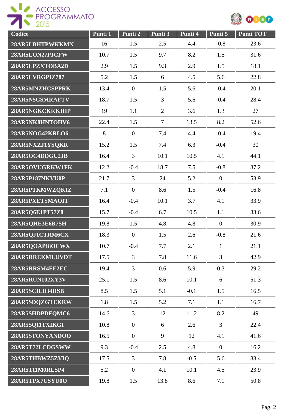

| Codice          | Punti 1 | Punti 2          | Punti 3        | Punti 4 | Punti 5        | <b>Punti TOT</b> |
|-----------------|---------|------------------|----------------|---------|----------------|------------------|
| 28AR5LBHTPWKKMN | 16      | 1.5              | 2.5            | 4.4     | $-0.8$         | 23.6             |
| 28AR5LON27PJCFW | 10.7    | 1.5              | 9.7            | 8.2     | 1.5            | 31.6             |
| 28AR5LPZXTOBA2D | 2.9     | 1.5              | 9.3            | 2.9     | 1.5            | 18.1             |
| 28AR5LVRGPIZ787 | 5.2     | 1.5              | 6              | 4.5     | 5.6            | 22.8             |
| 28AR5MNZHCSPPRK | 13.4    | $\overline{0}$   | 1.5            | 5.6     | $-0.4$         | 20.1             |
| 28AR5N5CSMRAFTV | 18.7    | 1.5              | $\overline{3}$ | 5.6     | $-0.4$         | 28.4             |
| 28AR5NGKCKKKIHP | 19      | 1.1              | $\overline{2}$ | 3.6     | 1.3            | 27               |
| 28AR5NK8HNTOHV6 | 22.4    | 1.5              | $\overline{7}$ | 13.5    | 8.2            | 52.6             |
| 28AR5NOG42KRLO6 | 8       | $\overline{0}$   | 7.4            | 4.4     | $-0.4$         | 19.4             |
| 28AR5NXZJ1YSQKR | 15.2    | 1.5              | 7.4            | 6.3     | $-0.4$         | 30               |
| 28AR5OC4DDGU2JB | 16.4    | 3                | 10.1           | 10.5    | 4.1            | 44.1             |
| 28AR5OVUGRKW1FK | 12.2    | $-0.4$           | 18.7           | 7.5     | $-0.8$         | 37.2             |
| 28AR5P187NKVU0P | 21.7    | 3                | 24             | 5.2     | $\overline{0}$ | 53.9             |
| 28AR5PTKMWZQKIZ | 7.1     | $\boldsymbol{0}$ | 8.6            | 1.5     | $-0.4$         | 16.8             |
| 28AR5PXETSMAOIT | 16.4    | $-0.4$           | 10.1           | 3.7     | 4.1            | 33.9             |
| 28AR5Q6E1PT57Z8 | 15.7    | $-0.4$           | 6.7            | 10.5    | 1.1            | 33.6             |
| 28AR5QHE3E6B7SH | 19.8    | 1.5              | 4.8            | 4.8     | $\overline{0}$ | 30.9             |
| 28AR5QJ1CTRM6CX | 18.3    | $\mathbf{0}$     | 1.5            | 2.6     | $-0.8$         | 21.6             |
| 28AR5OOAPI8OCWX | 10.7    | $-0.4$           | 7.7            | 2.1     | $\mathbf{1}$   | 21.1             |
| 28AR5RREKMLUVDT | 17.5    | $\overline{3}$   | 7.8            | 11.6    | $\overline{3}$ | 42.9             |
| 28AR5RRSM4FE2EC | 19.4    | $\overline{3}$   | 0.6            | 5.9     | 0.3            | 29.2             |
| 28AR5RUN102XY3V | 25.1    | 1.5              | 8.6            | 10.1    | 6              | 51.3             |
| 28AR5SCILIH4HSB | 8.5     | 1.5              | 5.1            | $-0.1$  | 1.5            | 16.5             |
| 28AR5SDQZGTEKRW | 1.8     | 1.5              | 5.2            | 7.1     | 1.1            | 16.7             |
| 28AR5SHDPDFQMC6 | 14.6    | $\mathfrak{Z}$   | 12             | 11.2    | 8.2            | 49               |
| 28AR5SQI1TXIKGI | 10.8    | $\boldsymbol{0}$ | 6              | 2.6     | $\overline{3}$ | 22.4             |
| 28AR5STONYANDOO | 16.5    | $\overline{0}$   | 9              | 12      | 4.1            | 41.6             |
| 28AR5T72LCDGSWW | 9.3     | $-0.4$           | 2.5            | 4.8     | $\mathbf{0}$   | 16.2             |
| 28AR5THBWZ5ZVIQ | 17.5    | 3                | 7.8            | $-0.5$  | 5.6            | 33.4             |
| 28AR5TI1M0RLSP4 | 5.2     | $\overline{0}$   | 4.1            | 10.1    | 4.5            | 23.9             |
| 28AR5TPX7USYU0O | 19.8    | 1.5              | 13.8           | 8.6     | 7.1            | 50.8             |